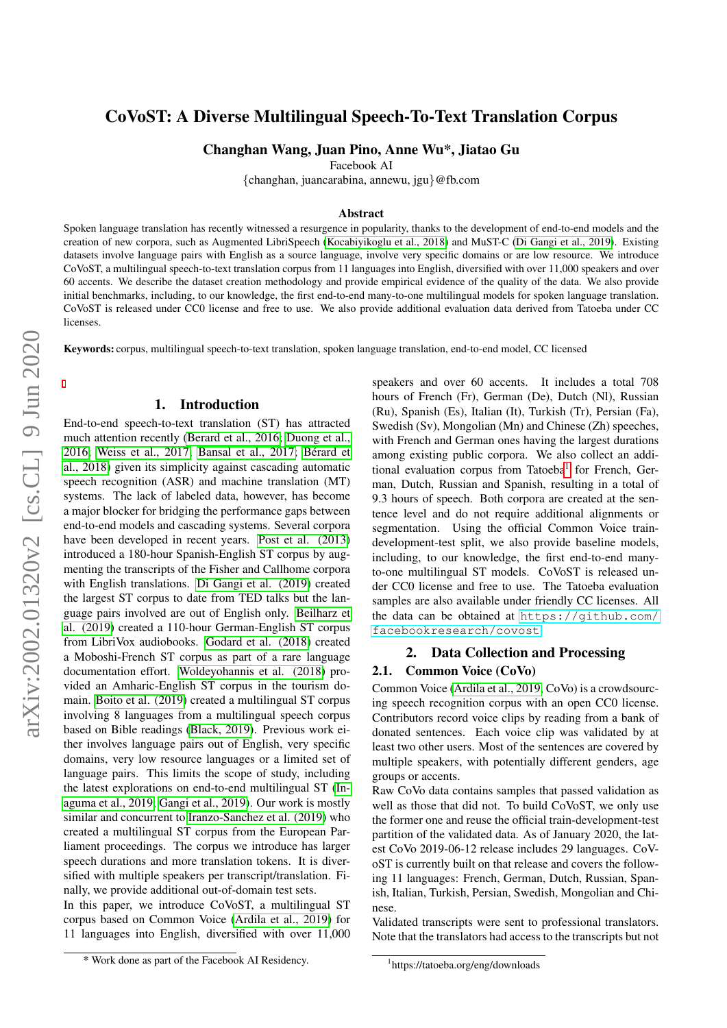# CoVoST: A Diverse Multilingual Speech-To-Text Translation Corpus

Changhan Wang, Juan Pino, Anne Wu\*, Jiatao Gu

Facebook AI

{changhan, juancarabina, annewu, jgu}@fb.com

#### Abstract

Spoken language translation has recently witnessed a resurgence in popularity, thanks to the development of end-to-end models and the creation of new corpora, such as Augmented LibriSpeech [\(Kocabiyikoglu et al., 2018\)](#page-6-0) and MuST-C [\(Di Gangi et al., 2019\)](#page-5-0). Existing datasets involve language pairs with English as a source language, involve very specific domains or are low resource. We introduce CoVoST, a multilingual speech-to-text translation corpus from 11 languages into English, diversified with over 11,000 speakers and over 60 accents. We describe the dataset creation methodology and provide empirical evidence of the quality of the data. We also provide initial benchmarks, including, to our knowledge, the first end-to-end many-to-one multilingual models for spoken language translation. CoVoST is released under CC0 license and free to use. We also provide additional evaluation data derived from Tatoeba under CC licenses.

Keywords: corpus, multilingual speech-to-text translation, spoken language translation, end-to-end model, CC licensed

#### 1. Introduction

End-to-end speech-to-text translation (ST) has attracted much attention recently [\(Berard et al., 2016;](#page-5-1) [Duong et al.,](#page-5-2) 2016: Weiss et al., 2017: Bansal et al., 2017: Bérard et [al., 2018\)](#page-5-4) given its simplicity against cascading automatic speech recognition (ASR) and machine translation (MT) systems. The lack of labeled data, however, has become a major blocker for bridging the performance gaps between end-to-end models and cascading systems. Several corpora have been developed in recent years. [Post et al. \(2013\)](#page-6-2) introduced a 180-hour Spanish-English ST corpus by augmenting the transcripts of the Fisher and Callhome corpora with English translations. [Di Gangi et al. \(2019\)](#page-5-0) created the largest ST corpus to date from TED talks but the language pairs involved are out of English only. [Beilharz et](#page-5-5) [al. \(2019\)](#page-5-5) created a 110-hour German-English ST corpus from LibriVox audiobooks. [Godard et al. \(2018\)](#page-5-6) created a Moboshi-French ST corpus as part of a rare language documentation effort. [Woldeyohannis et al. \(2018\)](#page-6-3) provided an Amharic-English ST corpus in the tourism domain. [Boito et al. \(2019\)](#page-5-7) created a multilingual ST corpus involving 8 languages from a multilingual speech corpus based on Bible readings [\(Black, 2019\)](#page-5-8). Previous work either involves language pairs out of English, very specific domains, very low resource languages or a limited set of language pairs. This limits the scope of study, including the latest explorations on end-to-end multilingual ST [\(In](#page-6-4)[aguma et al., 2019;](#page-6-4) [Gangi et al., 2019\)](#page-5-9). Our work is mostly similar and concurrent to [Iranzo-Sanchez et al. \(2019\)](#page-6-5) who created a multilingual ST corpus from the European Parliament proceedings. The corpus we introduce has larger speech durations and more translation tokens. It is diversified with multiple speakers per transcript/translation. Finally, we provide additional out-of-domain test sets.

In this paper, we introduce CoVoST, a multilingual ST corpus based on Common Voice [\(Ardila et al., 2019\)](#page-5-10) for 11 languages into English, diversified with over 11,000 speakers and over 60 accents. It includes a total 708 hours of French (Fr), German (De), Dutch (Nl), Russian (Ru), Spanish (Es), Italian (It), Turkish (Tr), Persian (Fa), Swedish (Sv), Mongolian (Mn) and Chinese (Zh) speeches, with French and German ones having the largest durations among existing public corpora. We also collect an addi-tional evaluation corpus from Tatoeba<sup>[1](#page-0-0)</sup> for French, German, Dutch, Russian and Spanish, resulting in a total of 9.3 hours of speech. Both corpora are created at the sentence level and do not require additional alignments or segmentation. Using the official Common Voice traindevelopment-test split, we also provide baseline models, including, to our knowledge, the first end-to-end manyto-one multilingual ST models. CoVoST is released under CC0 license and free to use. The Tatoeba evaluation samples are also available under friendly CC licenses. All the data can be obtained at [https://github.com/](https://github.com/facebookresearch/covost) [facebookresearch/covost](https://github.com/facebookresearch/covost).

## 2. Data Collection and Processing

#### 2.1. Common Voice (CoVo)

Common Voice [\(Ardila et al., 2019,](#page-5-10) CoVo) is a crowdsourcing speech recognition corpus with an open CC0 license. Contributors record voice clips by reading from a bank of donated sentences. Each voice clip was validated by at least two other users. Most of the sentences are covered by multiple speakers, with potentially different genders, age groups or accents.

Raw CoVo data contains samples that passed validation as well as those that did not. To build CoVoST, we only use the former one and reuse the official train-development-test partition of the validated data. As of January 2020, the latest CoVo 2019-06-12 release includes 29 languages. CoVoST is currently built on that release and covers the following 11 languages: French, German, Dutch, Russian, Spanish, Italian, Turkish, Persian, Swedish, Mongolian and Chinese.

<span id="page-0-0"></span>Validated transcripts were sent to professional translators. Note that the translators had access to the transcripts but not

<sup>\*</sup> Work done as part of the Facebook AI Residency.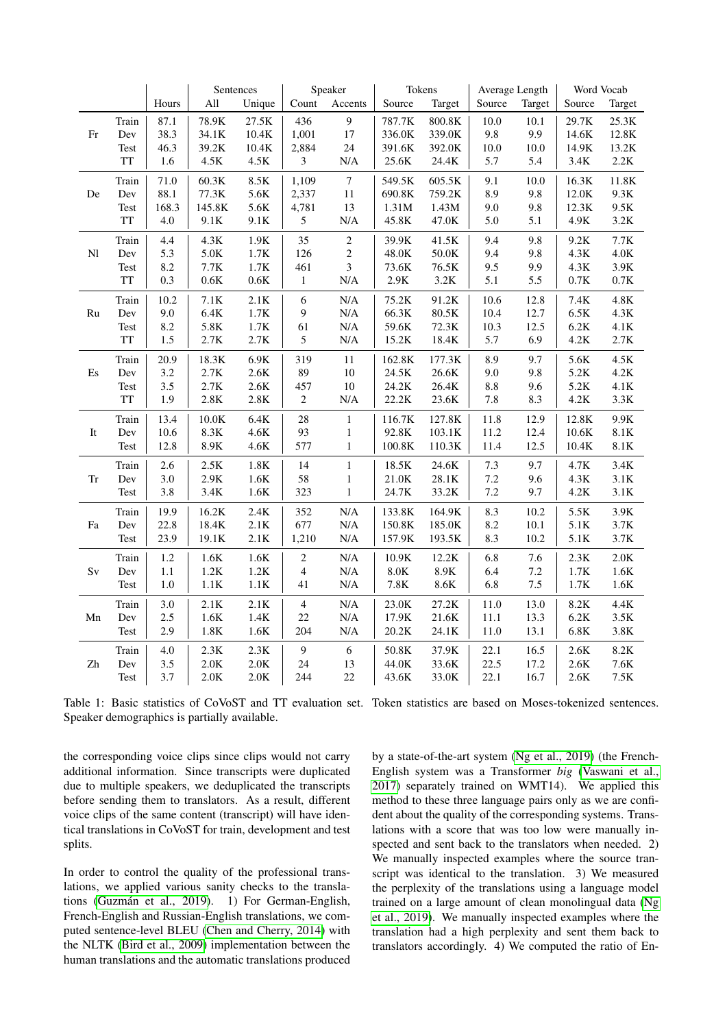|                                    |           |       |                 | Sentences        |                  | Speaker          | Tokens            |                   | Average Length |         | Word Vocab      |                  |
|------------------------------------|-----------|-------|-----------------|------------------|------------------|------------------|-------------------|-------------------|----------------|---------|-----------------|------------------|
|                                    |           | Hours | $\mathbf{All}$  | Unique           | Count            | Accents          | Source            | Target            | Source         | Target  | Source          | Target           |
|                                    | Train     | 87.1  | 78.9K           | 27.5K            | 436              | $\overline{9}$   | 787.7K            | $800.8\mathrm{K}$ | 10.0           | 10.1    | 29.7K           | 25.3K            |
| Fr                                 | Dev       | 38.3  | 34.1K           | 10.4K            | 1,001            | 17               | 336.0K            | 339.0K            | 9.8            | 9.9     | 14.6K           | 12.8K            |
|                                    | Test      | 46.3  | 39.2K           | $10.4\mathrm{K}$ | 2,884            | 24               | 391.6K            | 392.0K            | 10.0           | 10.0    | 14.9K           | 13.2K            |
|                                    | TT        | 1.6   | 4.5K            | $4.5K$           | $\mathfrak{Z}$   | N/A              | 25.6K             | $24.4\mathrm{K}$  | 5.7            | 5.4     | 3.4K            | $2.2\mathrm{K}$  |
|                                    | Train     | 71.0  | $60.3K$         | 8.5K             | 1,109            | $\boldsymbol{7}$ | 549.5K            | 605.5K            | 9.1            | 10.0    | 16.3K           | $11.8\mathrm{K}$ |
| De                                 | Dev       | 88.1  | 77.3K           | 5.6K             | 2,337            | 11               | 690.8K            | 759.2K            | 8.9            | 9.8     | 12.0K           | 9.3K             |
|                                    | Test      | 168.3 | 145.8K          | 5.6K             | 4,781            | 13               | 1.31M             | 1.43M             | 9.0            | 9.8     | 12.3K           | 9.5K             |
|                                    | TT        | 4.0   | 9.1K            | 9.1K             | 5                | $\rm N/A$        | 45.8K             | 47.0K             | 5.0            | 5.1     | 4.9K            | $3.2\mathrm{K}$  |
|                                    | Train     | 4.4   | $4.3K$          | $1.9\mathrm{K}$  | 35               | $\boldsymbol{2}$ | 39.9K             | 41.5K             | 9.4            | 9.8     | 9.2K            | $7.7\mathrm{K}$  |
| $\mathbf{N} \mathbf{l}$            | Dev       | 5.3   | 5.0K            | 1.7K             | 126              | $\overline{c}$   | 48.0K             | 50.0K             | 9.4            | 9.8     | 4.3K            | $4.0K$           |
|                                    | Test      | 8.2   | 7.7K            | $1.7\mathrm{K}$  | 461              | 3                | 73.6K             | $76.5\mathrm{K}$  | 9.5            | 9.9     | 4.3K            | $3.9K$           |
|                                    | TT        | 0.3   | $0.6\mathrm{K}$ | $0.6\mathrm{K}$  | $\mathbf{1}$     | N/A              | $2.9K$            | $3.2\mathrm{K}$   | 5.1            | 5.5     | $0.7\mathrm{K}$ | $0.7\mathrm{K}$  |
|                                    | Train     | 10.2  | 7.1K            | 2.1K             | $\sqrt{6}$       | $\rm N/A$        | 75.2K             | 91.2K             | 10.6           | 12.8    | 7.4K            | $4.8\mathrm{K}$  |
| Ru                                 | Dev       | 9.0   | 6.4K            | 1.7K             | 9                | $\rm N/A$        | 66.3K             | 80.5K             | 10.4           | 12.7    | 6.5K            | 4.3K             |
|                                    | Test      | 8.2   | $5.8K$          | 1.7K             | 61               | $\rm N/A$        | 59.6K             | $72.3\mathrm{K}$  | 10.3           | 12.5    | 6.2K            | $4.1\mathrm{K}$  |
|                                    | <b>TT</b> | 1.5   | $2.7\mathrm{K}$ | $2.7\mathrm{K}$  | 5                | $\rm N/A$        | $15.2\mathrm{K}$  | 18.4K             | 5.7            | 6.9     | $4.2K$          | $2.7\mathrm{K}$  |
|                                    | Train     | 20.9  | 18.3K           | 6.9K             | 319              | $11\,$           | 162.8K            | 177.3K            | 8.9            | 9.7     | 5.6K            | $4.5K$           |
| $\mathop{\hbox{\rm E}}\nolimits s$ | Dev       | 3.2   | $2.7K$          | $2.6K$           | 89               | $10\,$           | 24.5K             | 26.6K             | 9.0            | 9.8     | 5.2K            | $4.2\mathrm{K}$  |
|                                    | Test      | 3.5   | $2.7\mathrm{K}$ | $2.6K$           | 457              | $10\,$           | 24.2K             | 26.4K             | $8.8\,$        | 9.6     | 5.2K            | 4.1K             |
|                                    | <b>TT</b> | 1.9   | $2.8K$          | $2.8\mathrm{K}$  | $\boldsymbol{2}$ | N/A              | 22.2K             | 23.6K             | $7.8\,$        | 8.3     | $4.2\mathrm{K}$ | $3.3\mathrm{K}$  |
|                                    | Train     | 13.4  | $10.0K$         | 6.4K             | 28               | $\mathbf{1}$     | 116.7K            | 127.8K            | 11.8           | 12.9    | 12.8K           | 9.9K             |
| It                                 | Dev       | 10.6  | 8.3K            | $4.6\mathrm{K}$  | 93               | 1                | 92.8K             | 103.1K            | 11.2           | 12.4    | 10.6K           | 8.1K             |
|                                    | Test      | 12.8  | 8.9K            | $4.6K$           | 577              | $\mathbf{1}$     | $100.8\mathrm{K}$ | 110.3K            | 11.4           | 12.5    | 10.4K           | 8.1K             |
|                                    | Train     | 2.6   | $2.5K$          | 1.8K             | 14               | $\,1$            | 18.5K             | 24.6K             | 7.3            | 9.7     | 4.7K            | 3.4K             |
| Tr                                 | Dev       | 3.0   | $2.9K$          | 1.6K             | 58               | $\mathbf{1}$     | $21.0K$           | 28.1K             | 7.2            | 9.6     | 4.3K            | 3.1K             |
|                                    | Test      | 3.8   | $3.4\mathrm{K}$ | 1.6K             | 323              | $\,1$            | 24.7K             | 33.2K             | 7.2            | 9.7     | $4.2\mathrm{K}$ | 3.1K             |
|                                    | Train     | 19.9  | 16.2K           | $2.4\mathrm{K}$  | 352              | N/A              | 133.8K            | 164.9K            | 8.3            | 10.2    | 5.5K            | $3.9\mathrm{K}$  |
| Fa                                 | Dev       | 22.8  | 18.4K           | 2.1K             | 677              | $\rm N/A$        | 150.8K            | 185.0K            | 8.2            | 10.1    | 5.1K            | 3.7K             |
|                                    | Test      | 23.9  | 19.1K           | 2.1K             | 1,210            | $\rm N/A$        | 157.9K            | 193.5K            | 8.3            | 10.2    | 5.1K            | 3.7K             |
|                                    | Train     | 1.2   | $1.6\mathrm{K}$ | $1.6\mathrm{K}$  | $\mathbf{2}$     | $\rm N/A$        | $10.9\mathrm{K}$  | 12.2K             | 6.8            | 7.6     | 2.3K            | 2.0K             |
| $\rm Sv$                           | Dev       | 1.1   | $1.2\mathrm{K}$ | $1.2\mathrm{K}$  | 4                | $\rm N/A$        | $8.0\mathrm{K}$   | $8.9\mathrm{K}$   | 6.4            | $7.2\,$ | 1.7K            | $1.6\mathrm{K}$  |
|                                    | Test      | $1.0$ | 1.1K            | 1.1K             | 41               | $\rm N/A$        | 7.8K              | 8.6K              | 6.8            | $7.5\,$ | 1.7K            | 1.6K             |
|                                    | Train     | 3.0   | 2.1K            | 2.1K             | $\overline{4}$   | $\rm N/A$        | 23.0K             | 27.2K             | 11.0           | 13.0    | 8.2K            | 4.4K             |
| Mn                                 | Dev       | 2.5   | 1.6K            | 1.4K             | $22\,$           | N/A              | 17.9K             | 21.6K             | 11.1           | 13.3    | 6.2K            | 3.5K             |
|                                    | Test      | 2.9   | $1.8\mathrm{K}$ | $1.6\mathrm{K}$  | 204              | $\rm N/A$        | 20.2K             | $24.1\mathrm{K}$  | 11.0           | 13.1    | $6.8\mathrm{K}$ | $3.8\mathrm{K}$  |
|                                    | Train     | 4.0   | 2.3K            | 2.3K             | $\overline{9}$   | $\sqrt{6}$       | 50.8K             | 37.9K             | 22.1           | 16.5    | 2.6K            | $8.2\mathrm{K}$  |
| Zh                                 | Dev       | 3.5   | $2.0K$          | $2.0K$           | 24               | 13               | 44.0K             | 33.6K             | 22.5           | 17.2    | 2.6K            | $7.6\mathrm{K}$  |
|                                    | Test      | 3.7   | 2.0K            | $2.0K$           | 244              | 22               | 43.6K             | 33.0K             | 22.1           | 16.7    | $2.6K$          | $7.5K$           |
|                                    |           |       |                 |                  |                  |                  |                   |                   |                |         |                 |                  |

<span id="page-1-0"></span>Table 1: Basic statistics of CoVoST and TT evaluation set. Token statistics are based on Moses-tokenized sentences. Speaker demographics is partially available.

the corresponding voice clips since clips would not carry additional information. Since transcripts were duplicated due to multiple speakers, we deduplicated the transcripts before sending them to translators. As a result, different voice clips of the same content (transcript) will have identical translations in CoVoST for train, development and test splits.

In order to control the quality of the professional translations, we applied various sanity checks to the translations (Guzmán et al., 2019). 1) For German-English, French-English and Russian-English translations, we computed sentence-level BLEU [\(Chen and Cherry, 2014\)](#page-5-11) with the NLTK [\(Bird et al., 2009\)](#page-5-12) implementation between the human translations and the automatic translations produced by a state-of-the-art system [\(Ng et al., 2019\)](#page-6-7) (the French-English system was a Transformer *big* [\(Vaswani et al.,](#page-6-8) [2017\)](#page-6-8) separately trained on WMT14). We applied this method to these three language pairs only as we are confident about the quality of the corresponding systems. Translations with a score that was too low were manually inspected and sent back to the translators when needed. 2) We manually inspected examples where the source transcript was identical to the translation. 3) We measured the perplexity of the translations using a language model trained on a large amount of clean monolingual data [\(Ng](#page-6-7) [et al., 2019\)](#page-6-7). We manually inspected examples where the translation had a high perplexity and sent them back to translators accordingly. 4) We computed the ratio of En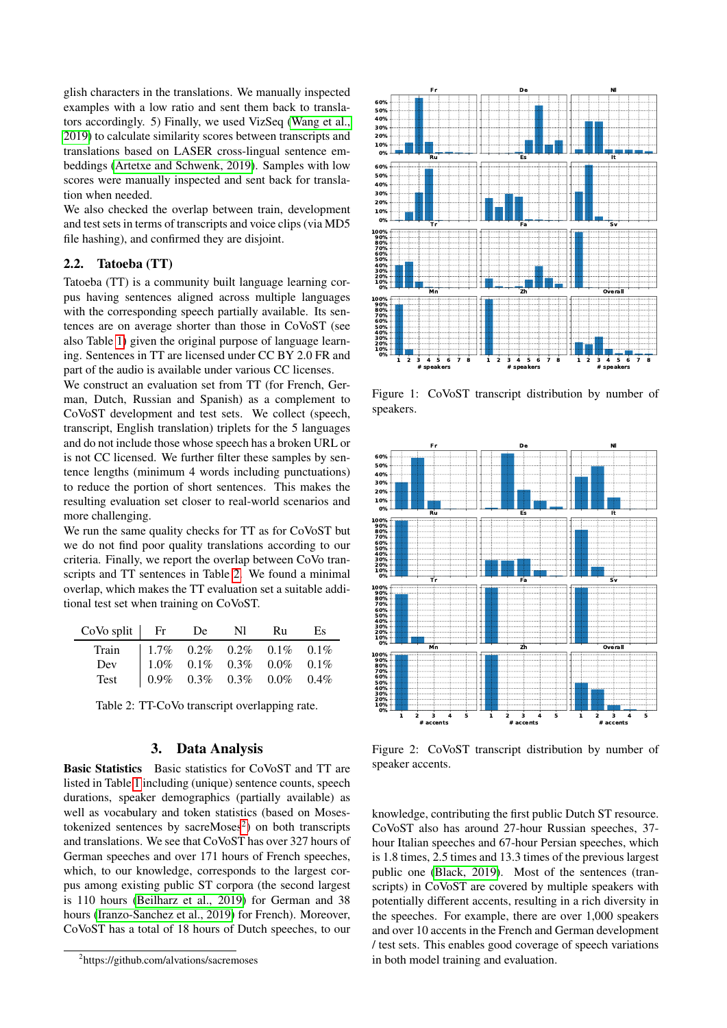glish characters in the translations. We manually inspected examples with a low ratio and sent them back to translators accordingly. 5) Finally, we used VizSeq [\(Wang et al.,](#page-6-9) [2019\)](#page-6-9) to calculate similarity scores between transcripts and translations based on LASER cross-lingual sentence embeddings [\(Artetxe and Schwenk, 2019\)](#page-5-13). Samples with low scores were manually inspected and sent back for translation when needed.

We also checked the overlap between train, development and test sets in terms of transcripts and voice clips (via MD5 file hashing), and confirmed they are disjoint.

## 2.2. Tatoeba (TT)

Tatoeba (TT) is a community built language learning corpus having sentences aligned across multiple languages with the corresponding speech partially available. Its sentences are on average shorter than those in CoVoST (see also Table [1\)](#page-1-0) given the original purpose of language learning. Sentences in TT are licensed under CC BY 2.0 FR and part of the audio is available under various CC licenses.

We construct an evaluation set from TT (for French, German, Dutch, Russian and Spanish) as a complement to CoVoST development and test sets. We collect (speech, transcript, English translation) triplets for the 5 languages and do not include those whose speech has a broken URL or is not CC licensed. We further filter these samples by sentence lengths (minimum 4 words including punctuations) to reduce the portion of short sentences. This makes the resulting evaluation set closer to real-world scenarios and more challenging.

We run the same quality checks for TT as for CoVoST but we do not find poor quality translations according to our criteria. Finally, we report the overlap between CoVo transcripts and TT sentences in Table [2.](#page-2-0) We found a minimal overlap, which makes the TT evaluation set a suitable additional test set when training on CoVoST.

| $CoV0$ split $\vert$ Fr De Nl |                                                                                                                                                                                   |  | - Ru | Es |
|-------------------------------|-----------------------------------------------------------------------------------------------------------------------------------------------------------------------------------|--|------|----|
| Train                         | $\begin{array}{ cccc cccc } \hline 1.7\% & 0.2\% & 0.2\% & 0.1\% & 0.1\% \\ 1.0\% & 0.1\% & 0.3\% & 0.0\% & 0.1\% \\ 0.9\% & 0.3\% & 0.3\% & 0.0\% & 0.4\% \\ \hline \end{array}$ |  |      |    |
| Dev                           |                                                                                                                                                                                   |  |      |    |
| Test                          |                                                                                                                                                                                   |  |      |    |

<span id="page-2-0"></span>Table 2: TT-CoVo transcript overlapping rate.

## 3. Data Analysis

Basic Statistics Basic statistics for CoVoST and TT are listed in Table [1](#page-1-0) including (unique) sentence counts, speech durations, speaker demographics (partially available) as well as vocabulary and token statistics (based on Mosestokenized sentences by sacre $M$ oses<sup>[2](#page-2-1)</sup>) on both transcripts and translations. We see that CoVoST has over 327 hours of German speeches and over 171 hours of French speeches, which, to our knowledge, corresponds to the largest corpus among existing public ST corpora (the second largest is 110 hours [\(Beilharz et al., 2019\)](#page-5-5) for German and 38 hours [\(Iranzo-Sanchez et al., 2019\)](#page-6-5) for French). Moreover, CoVoST has a total of 18 hours of Dutch speeches, to our

<span id="page-2-1"></span>2 https://github.com/alvations/sacremoses



<span id="page-2-2"></span>Figure 1: CoVoST transcript distribution by number of speakers.



<span id="page-2-3"></span>Figure 2: CoVoST transcript distribution by number of speaker accents.

knowledge, contributing the first public Dutch ST resource. CoVoST also has around 27-hour Russian speeches, 37 hour Italian speeches and 67-hour Persian speeches, which is 1.8 times, 2.5 times and 13.3 times of the previous largest public one [\(Black, 2019\)](#page-5-8). Most of the sentences (transcripts) in CoVoST are covered by multiple speakers with potentially different accents, resulting in a rich diversity in the speeches. For example, there are over 1,000 speakers and over 10 accents in the French and German development / test sets. This enables good coverage of speech variations in both model training and evaluation.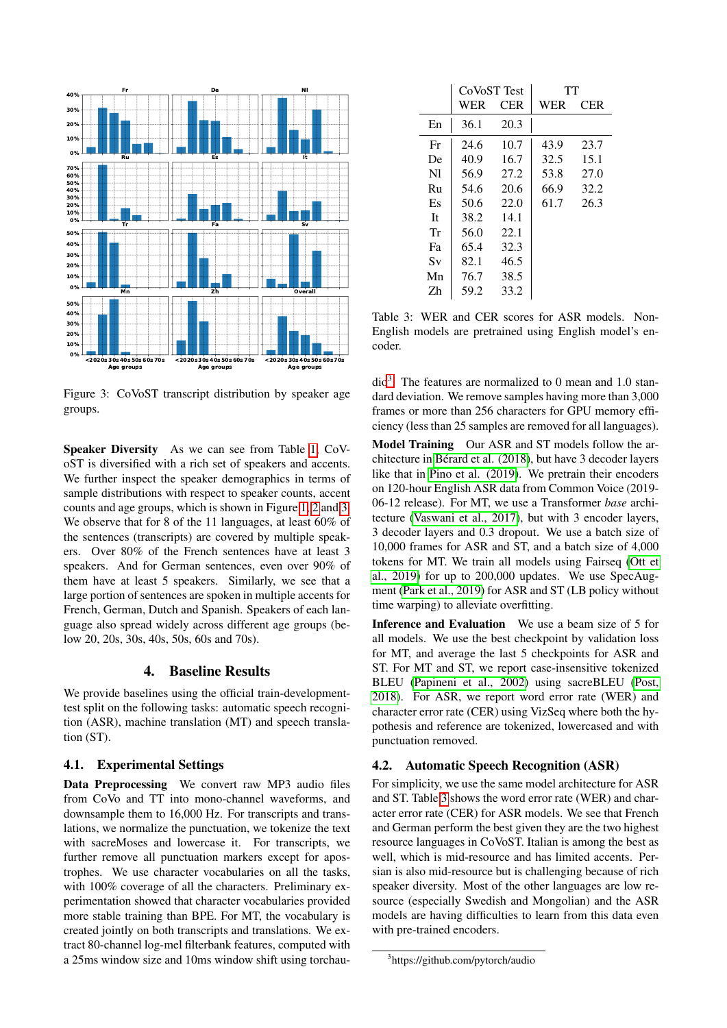

<span id="page-3-0"></span>Figure 3: CoVoST transcript distribution by speaker age groups.

Speaker Diversity As we can see from Table [1,](#page-1-0) CoVoST is diversified with a rich set of speakers and accents. We further inspect the speaker demographics in terms of sample distributions with respect to speaker counts, accent counts and age groups, which is shown in Figure [1,](#page-2-2) [2](#page-2-3) and [3.](#page-3-0) We observe that for 8 of the 11 languages, at least 60% of the sentences (transcripts) are covered by multiple speakers. Over 80% of the French sentences have at least 3 speakers. And for German sentences, even over 90% of them have at least 5 speakers. Similarly, we see that a large portion of sentences are spoken in multiple accents for French, German, Dutch and Spanish. Speakers of each language also spread widely across different age groups (below 20, 20s, 30s, 40s, 50s, 60s and 70s).

#### 4. Baseline Results

We provide baselines using the official train-developmenttest split on the following tasks: automatic speech recognition (ASR), machine translation (MT) and speech translation (ST).

#### 4.1. Experimental Settings

Data Preprocessing We convert raw MP3 audio files from CoVo and TT into mono-channel waveforms, and downsample them to 16,000 Hz. For transcripts and translations, we normalize the punctuation, we tokenize the text with sacreMoses and lowercase it. For transcripts, we further remove all punctuation markers except for apostrophes. We use character vocabularies on all the tasks, with 100% coverage of all the characters. Preliminary experimentation showed that character vocabularies provided more stable training than BPE. For MT, the vocabulary is created jointly on both transcripts and translations. We extract 80-channel log-mel filterbank features, computed with a 25ms window size and 10ms window shift using torchau-

|          | CoVoST Test |            | TT   |      |  |
|----------|-------------|------------|------|------|--|
|          | WER         | <b>CER</b> | WER  | CER. |  |
| En       | 36.1        | 20.3       |      |      |  |
| Fr       | 24.6        | 10.7       | 43.9 | 23.7 |  |
| De       | 40.9        | 16.7       | 32.5 | 15.1 |  |
| N1       | 56.9        | 27.2       | 53.8 | 27.0 |  |
| $R_{11}$ | 54.6        | 20.6       | 66.9 | 32.2 |  |
| Es       | 50.6        | 22.0       | 61.7 | 26.3 |  |
| Tt.      | 38.2        | 14.1       |      |      |  |
| Тr       | 56.0        | 22.1       |      |      |  |
| Fa       | 65.4        | 32.3       |      |      |  |
| Sv       | 82.1        | 46.5       |      |      |  |
| Mn       | 76.7        | 38.5       |      |      |  |
| 7h       | 59.2        | 33.2       |      |      |  |

<span id="page-3-2"></span>Table 3: WER and CER scores for ASR models. Non-English models are pretrained using English model's encoder.

dio[3](#page-3-1) . The features are normalized to 0 mean and 1.0 standard deviation. We remove samples having more than 3,000 frames or more than 256 characters for GPU memory efficiency (less than 25 samples are removed for all languages).

Model Training Our ASR and ST models follow the architecture in [Berard et al. \(2018\)](#page-5-4), but have 3 decoder layers ´ like that in [Pino et al. \(2019\)](#page-6-10). We pretrain their encoders on 120-hour English ASR data from Common Voice (2019- 06-12 release). For MT, we use a Transformer *base* architecture [\(Vaswani et al., 2017\)](#page-6-8), but with 3 encoder layers, 3 decoder layers and 0.3 dropout. We use a batch size of 10,000 frames for ASR and ST, and a batch size of 4,000 tokens for MT. We train all models using Fairseq [\(Ott et](#page-6-11) [al., 2019\)](#page-6-11) for up to 200,000 updates. We use SpecAugment [\(Park et al., 2019\)](#page-6-12) for ASR and ST (LB policy without time warping) to alleviate overfitting.

Inference and Evaluation We use a beam size of 5 for all models. We use the best checkpoint by validation loss for MT, and average the last 5 checkpoints for ASR and ST. For MT and ST, we report case-insensitive tokenized BLEU [\(Papineni et al., 2002\)](#page-6-13) using sacreBLEU [\(Post,](#page-6-14) [2018\)](#page-6-14). For ASR, we report word error rate (WER) and character error rate (CER) using VizSeq where both the hypothesis and reference are tokenized, lowercased and with punctuation removed.

### 4.2. Automatic Speech Recognition (ASR)

For simplicity, we use the same model architecture for ASR and ST. Table [3](#page-3-2) shows the word error rate (WER) and character error rate (CER) for ASR models. We see that French and German perform the best given they are the two highest resource languages in CoVoST. Italian is among the best as well, which is mid-resource and has limited accents. Persian is also mid-resource but is challenging because of rich speaker diversity. Most of the other languages are low resource (especially Swedish and Mongolian) and the ASR models are having difficulties to learn from this data even with pre-trained encoders.

<span id="page-3-1"></span><sup>3</sup> https://github.com/pytorch/audio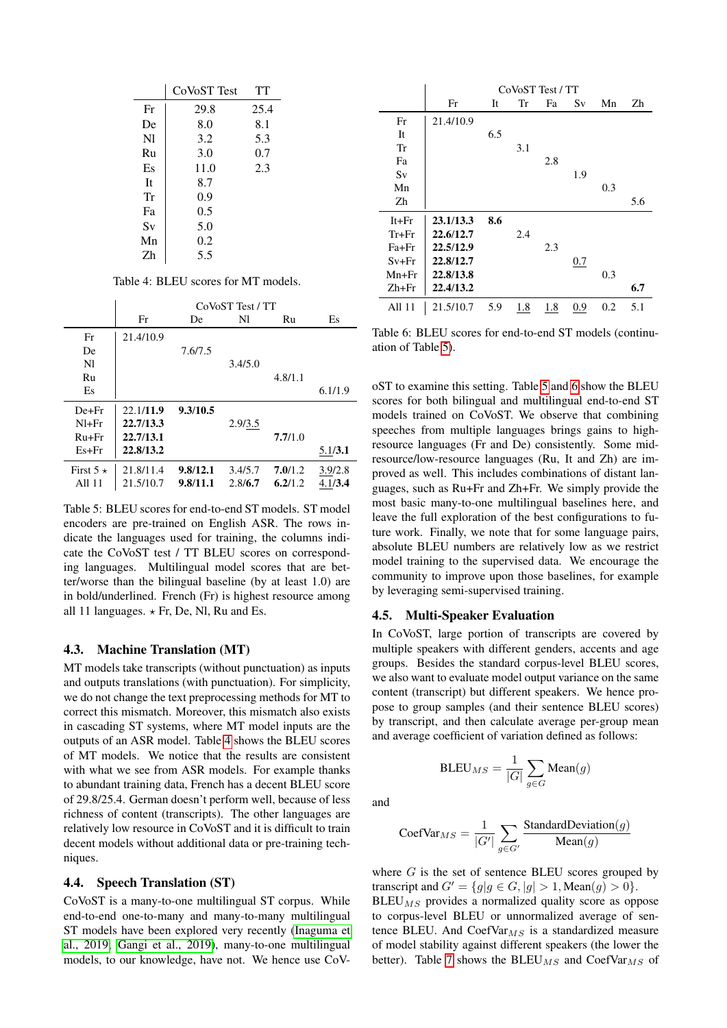|    | CoVoST Test | TT   |  |
|----|-------------|------|--|
| Fr | 29.8        | 25.4 |  |
| De | 8.0         | 8.1  |  |
| N1 | 3.2         | 5.3  |  |
| Ru | 3.0         | 0.7  |  |
| Es | 11.0        | 2.3  |  |
| It | 8.7         |      |  |
| Tr | 0.9         |      |  |
| Fa | 0.5         |      |  |
| Sv | 5.0         |      |  |
| Mn | 0.2         |      |  |
| 7h | 5.5         |      |  |

<span id="page-4-0"></span>Table 4: BLEU scores for MT models.

|                 | CoVoST Test / TT |          |         |         |         |  |
|-----------------|------------------|----------|---------|---------|---------|--|
|                 | Fr               | De       | Nl      | Ru      | Es      |  |
| Fr              | 21.4/10.9        |          |         |         |         |  |
| De              |                  | 7.6/7.5  |         |         |         |  |
| N <sub>1</sub>  |                  |          | 3.4/5.0 |         |         |  |
| Ru              |                  |          |         | 4.8/1.1 |         |  |
| Es              |                  |          |         |         | 6.1/1.9 |  |
| $De + Fr$       | 22.1/11.9        | 9.3/10.5 |         |         |         |  |
| $NI + Fr$       | 22.7/13.3        |          | 2.9/3.5 |         |         |  |
| $Ru + Fr$       | 22.7/13.1        |          |         | 7.7/1.0 |         |  |
| $Es + Fr$       | 22.8/13.2        |          |         |         | 5.1/3.1 |  |
| First $5 \star$ | 21.8/11.4        | 9.8/12.1 | 3.4/5.7 | 7.0/1.2 | 3.9/2.8 |  |
| All 11          | 21.5/10.7        | 9.8/11.1 | 2.8/6.7 | 6.2/1.2 | 4.1/3.4 |  |

<span id="page-4-1"></span>Table 5: BLEU scores for end-to-end ST models. ST model encoders are pre-trained on English ASR. The rows indicate the languages used for training, the columns indicate the CoVoST test / TT BLEU scores on corresponding languages. Multilingual model scores that are better/worse than the bilingual baseline (by at least 1.0) are in bold/underlined. French (Fr) is highest resource among all 11 languages.  $\star$  Fr, De, Nl, Ru and Es.

#### 4.3. Machine Translation (MT)

MT models take transcripts (without punctuation) as inputs and outputs translations (with punctuation). For simplicity, we do not change the text preprocessing methods for MT to correct this mismatch. Moreover, this mismatch also exists in cascading ST systems, where MT model inputs are the outputs of an ASR model. Table [4](#page-4-0) shows the BLEU scores of MT models. We notice that the results are consistent with what we see from ASR models. For example thanks to abundant training data, French has a decent BLEU score of 29.8/25.4. German doesn't perform well, because of less richness of content (transcripts). The other languages are relatively low resource in CoVoST and it is difficult to train decent models without additional data or pre-training techniques.

#### 4.4. Speech Translation (ST)

CoVoST is a many-to-one multilingual ST corpus. While end-to-end one-to-many and many-to-many multilingual ST models have been explored very recently [\(Inaguma et](#page-6-4) [al., 2019;](#page-6-4) [Gangi et al., 2019\)](#page-5-9), many-to-one multilingual models, to our knowledge, have not. We hence use CoV-

|           | CoVoST Test / TT |     |     |     |     |     |     |
|-----------|------------------|-----|-----|-----|-----|-----|-----|
|           | Fr               | It  | Tr  | Fa  | Sv  | Mn  | Zh  |
| Fr        | 21.4/10.9        |     |     |     |     |     |     |
| It        |                  | 6.5 |     |     |     |     |     |
| Tr        |                  |     | 3.1 |     |     |     |     |
| Fa        |                  |     |     | 2.8 |     |     |     |
| Sv        |                  |     |     |     | 1.9 |     |     |
| Mn        |                  |     |     |     |     | 0.3 |     |
| Zh        |                  |     |     |     |     |     | 5.6 |
| $It + Fr$ | 23.1/13.3        | 8.6 |     |     |     |     |     |
| $Tr+Fr$   | 22.6/12.7        |     | 2.4 |     |     |     |     |
| $Fa + Fr$ | 22.5/12.9        |     |     | 2.3 |     |     |     |
| Sv+Fr     | 22.8/12.7        |     |     |     | 0.7 |     |     |
| $Mn + Fr$ | 22.8/13.8        |     |     |     |     | 0.3 |     |
| Zh+Fr     | 22.4/13.2        |     |     |     |     |     | 6.7 |
| All 11    | 21.5/10.7        | 5.9 | 1.8 | 1.8 | 0.9 | 0.2 | 5.1 |

<span id="page-4-2"></span>Table 6: BLEU scores for end-to-end ST models (continuation of Table [5\)](#page-4-1).

oST to examine this setting. Table [5](#page-4-1) and [6](#page-4-2) show the BLEU scores for both bilingual and multilingual end-to-end ST models trained on CoVoST. We observe that combining speeches from multiple languages brings gains to highresource languages (Fr and De) consistently. Some midresource/low-resource languages (Ru, It and Zh) are improved as well. This includes combinations of distant languages, such as Ru+Fr and Zh+Fr. We simply provide the most basic many-to-one multilingual baselines here, and leave the full exploration of the best configurations to future work. Finally, we note that for some language pairs, absolute BLEU numbers are relatively low as we restrict model training to the supervised data. We encourage the community to improve upon those baselines, for example by leveraging semi-supervised training.

#### 4.5. Multi-Speaker Evaluation

 $BLEU_{MS} = \frac{1}{16}$ 

In CoVoST, large portion of transcripts are covered by multiple speakers with different genders, accents and age groups. Besides the standard corpus-level BLEU scores, we also want to evaluate model output variance on the same content (transcript) but different speakers. We hence propose to group samples (and their sentence BLEU scores) by transcript, and then calculate average per-group mean and average coefficient of variation defined as follows:

and

$$
CoefVar_{MS} = \frac{1}{|G'|} \sum_{g \in G'} \frac{\text{StandardDeviation}(g)}{\text{Mean}(g)}
$$

 $|G|$  $\sum$ g∈G

 $Mean(g)$ 

where  $G$  is the set of sentence BLEU scores grouped by transcript and  $G' = \{g | g \in G, |g| > 1, \text{Mean}(g) > 0\}.$ 

 $BLEU_{MS}$  provides a normalized quality score as oppose to corpus-level BLEU or unnormalized average of sentence BLEU. And CoefVar $_{MS}$  is a standardized measure of model stability against different speakers (the lower the better). Table [7](#page-5-14) shows the BLEU<sub>MS</sub> and CoefVar<sub>MS</sub> of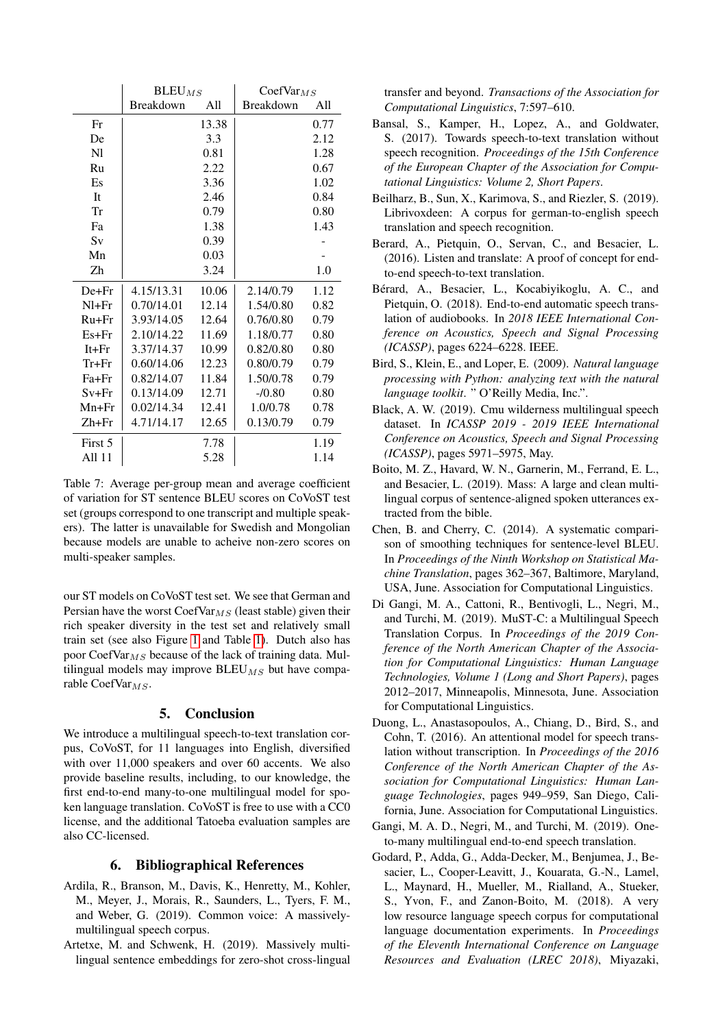|           | $BLEU_{MS}$      |       | CoefVar $_{MS}$  |      |  |
|-----------|------------------|-------|------------------|------|--|
|           | <b>Breakdown</b> | A11   | <b>Breakdown</b> | A11  |  |
| Fr        |                  | 13.38 |                  | 0.77 |  |
| De        |                  | 3.3   |                  | 2.12 |  |
| N1        |                  | 0.81  |                  | 1.28 |  |
| Ru        |                  | 2.22  |                  | 0.67 |  |
| Es        |                  | 3.36  |                  | 1.02 |  |
| <b>It</b> |                  | 2.46  |                  | 0.84 |  |
| Tr        |                  | 0.79  |                  | 0.80 |  |
| Fa        |                  | 1.38  |                  | 1.43 |  |
| Sv        |                  | 0.39  |                  |      |  |
| Mn        |                  | 0.03  |                  |      |  |
| Zh        |                  | 3.24  |                  | 1.0  |  |
| $De + Fr$ | 4.15/13.31       | 10.06 | 2.14/0.79        | 1.12 |  |
| $NI + Fr$ | 0.70/14.01       | 12.14 | 1.54/0.80        | 0.82 |  |
| $Ru + Fr$ | 3.93/14.05       | 12.64 | 0.76/0.80        | 0.79 |  |
| $Es + Fr$ | 2.10/14.22       | 11.69 | 1.18/0.77        | 0.80 |  |
| $It + Fr$ | 3.37/14.37       | 10.99 | 0.82/0.80        | 0.80 |  |
| $Tr + Fr$ | 0.60/14.06       | 12.23 | 0.80/0.79        | 0.79 |  |
| $Fa + Fr$ | 0.82/14.07       | 11.84 | 1.50/0.78        | 0.79 |  |
| $Sv + Fr$ | 0.13/14.09       | 12.71 | $-70.80$         | 0.80 |  |
| $Mn + Fr$ | 0.02/14.34       | 12.41 | 1.0/0.78         | 0.78 |  |
| $Zh+Fr$   | 4.71/14.17       | 12.65 | 0.13/0.79        | 0.79 |  |
| First 5   |                  | 7.78  |                  | 1.19 |  |
| All 11    |                  | 5.28  |                  | 1.14 |  |

<span id="page-5-14"></span>Table 7: Average per-group mean and average coefficient of variation for ST sentence BLEU scores on CoVoST test set (groups correspond to one transcript and multiple speakers). The latter is unavailable for Swedish and Mongolian because models are unable to acheive non-zero scores on multi-speaker samples.

our ST models on CoVoST test set. We see that German and Persian have the worst  $\text{CoefVar}_{MS}$  (least stable) given their rich speaker diversity in the test set and relatively small train set (see also Figure [1](#page-2-2) and Table [1\)](#page-1-0). Dutch also has poor CoefVar $_{MS}$  because of the lack of training data. Multilingual models may improve  $BLEU_{MS}$  but have comparable CoefVar $_{MS}$ .

## 5. Conclusion

We introduce a multilingual speech-to-text translation corpus, CoVoST, for 11 languages into English, diversified with over 11,000 speakers and over 60 accents. We also provide baseline results, including, to our knowledge, the first end-to-end many-to-one multilingual model for spoken language translation. CoVoST is free to use with a CC0 license, and the additional Tatoeba evaluation samples are also CC-licensed.

### 6. Bibliographical References

- <span id="page-5-10"></span>Ardila, R., Branson, M., Davis, K., Henretty, M., Kohler, M., Meyer, J., Morais, R., Saunders, L., Tyers, F. M., and Weber, G. (2019). Common voice: A massivelymultilingual speech corpus.
- <span id="page-5-13"></span>Artetxe, M. and Schwenk, H. (2019). Massively multilingual sentence embeddings for zero-shot cross-lingual

transfer and beyond. *Transactions of the Association for Computational Linguistics*, 7:597–610.

- <span id="page-5-3"></span>Bansal, S., Kamper, H., Lopez, A., and Goldwater, S. (2017). Towards speech-to-text translation without speech recognition. *Proceedings of the 15th Conference of the European Chapter of the Association for Computational Linguistics: Volume 2, Short Papers*.
- <span id="page-5-5"></span>Beilharz, B., Sun, X., Karimova, S., and Riezler, S. (2019). Librivoxdeen: A corpus for german-to-english speech translation and speech recognition.
- <span id="page-5-1"></span>Berard, A., Pietquin, O., Servan, C., and Besacier, L. (2016). Listen and translate: A proof of concept for endto-end speech-to-text translation.
- <span id="page-5-4"></span>Bérard, A., Besacier, L., Kocabiyikoglu, A. C., and Pietquin, O. (2018). End-to-end automatic speech translation of audiobooks. In *2018 IEEE International Conference on Acoustics, Speech and Signal Processing (ICASSP)*, pages 6224–6228. IEEE.
- <span id="page-5-12"></span>Bird, S., Klein, E., and Loper, E. (2009). *Natural language processing with Python: analyzing text with the natural language toolkit*. " O'Reilly Media, Inc.".
- <span id="page-5-8"></span>Black, A. W. (2019). Cmu wilderness multilingual speech dataset. In *ICASSP 2019 - 2019 IEEE International Conference on Acoustics, Speech and Signal Processing (ICASSP)*, pages 5971–5975, May.
- <span id="page-5-7"></span>Boito, M. Z., Havard, W. N., Garnerin, M., Ferrand, E. L., and Besacier, L. (2019). Mass: A large and clean multilingual corpus of sentence-aligned spoken utterances extracted from the bible.
- <span id="page-5-11"></span>Chen, B. and Cherry, C. (2014). A systematic comparison of smoothing techniques for sentence-level BLEU. In *Proceedings of the Ninth Workshop on Statistical Machine Translation*, pages 362–367, Baltimore, Maryland, USA, June. Association for Computational Linguistics.
- <span id="page-5-0"></span>Di Gangi, M. A., Cattoni, R., Bentivogli, L., Negri, M., and Turchi, M. (2019). MuST-C: a Multilingual Speech Translation Corpus. In *Proceedings of the 2019 Conference of the North American Chapter of the Association for Computational Linguistics: Human Language Technologies, Volume 1 (Long and Short Papers)*, pages 2012–2017, Minneapolis, Minnesota, June. Association for Computational Linguistics.
- <span id="page-5-2"></span>Duong, L., Anastasopoulos, A., Chiang, D., Bird, S., and Cohn, T. (2016). An attentional model for speech translation without transcription. In *Proceedings of the 2016 Conference of the North American Chapter of the Association for Computational Linguistics: Human Language Technologies*, pages 949–959, San Diego, California, June. Association for Computational Linguistics.
- <span id="page-5-9"></span>Gangi, M. A. D., Negri, M., and Turchi, M. (2019). Oneto-many multilingual end-to-end speech translation.
- <span id="page-5-6"></span>Godard, P., Adda, G., Adda-Decker, M., Benjumea, J., Besacier, L., Cooper-Leavitt, J., Kouarata, G.-N., Lamel, L., Maynard, H., Mueller, M., Rialland, A., Stueker, S., Yvon, F., and Zanon-Boito, M. (2018). A very low resource language speech corpus for computational language documentation experiments. In *Proceedings of the Eleventh International Conference on Language Resources and Evaluation (LREC 2018)*, Miyazaki,